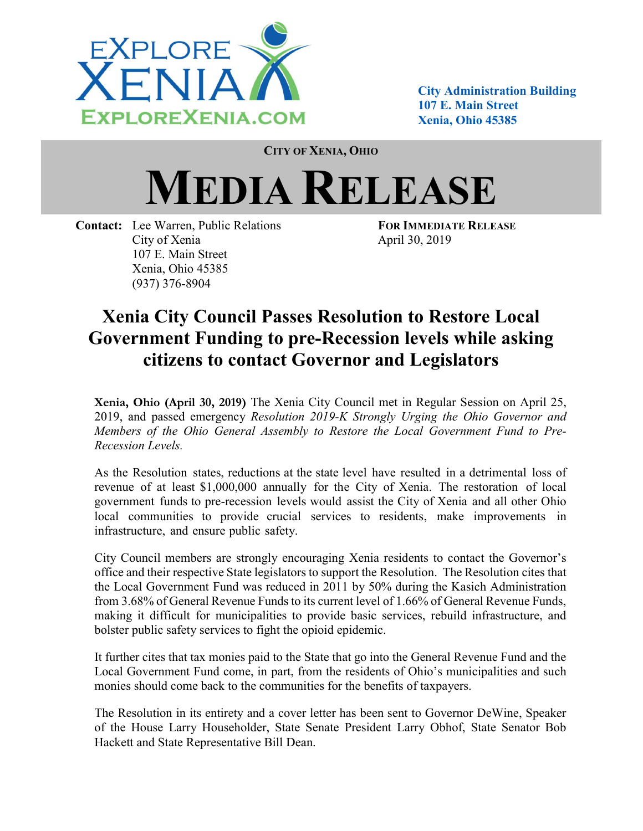

City Administration Building 107 E. Main Street Xenia, Ohio 45385

CITY OF XENIA, OHIO

## MEDIA RELEASE

Contact: Lee Warren, Public Relations FOR IMMEDIATE RELEASE City of Xenia April 30, 2019 107 E. Main Street Xenia, Ohio 45385 (937) 376-8904

## Xenia City Council Passes Resolution to Restore Local Government Funding to pre-Recession levels while asking citizens to contact Governor and Legislators

Xenia, Ohio (April 30, 2019) The Xenia City Council met in Regular Session on April 25, 2019, and passed emergency Resolution 2019-K Strongly Urging the Ohio Governor and Members of the Ohio General Assembly to Restore the Local Government Fund to Pre-Recession Levels.

As the Resolution states, reductions at the state level have resulted in a detrimental loss of revenue of at least \$1,000,000 annually for the City of Xenia. The restoration of local government funds to pre-recession levels would assist the City of Xenia and all other Ohio local communities to provide crucial services to residents, make improvements in infrastructure, and ensure public safety.

City Council members are strongly encouraging Xenia residents to contact the Governor's office and their respective State legislators to support the Resolution. The Resolution cites that the Local Government Fund was reduced in 2011 by 50% during the Kasich Administration from 3.68% of General Revenue Funds to its current level of 1.66% of General Revenue Funds, making it difficult for municipalities to provide basic services, rebuild infrastructure, and bolster public safety services to fight the opioid epidemic.

It further cites that tax monies paid to the State that go into the General Revenue Fund and the Local Government Fund come, in part, from the residents of Ohio's municipalities and such monies should come back to the communities for the benefits of taxpayers.

The Resolution in its entirety and a cover letter has been sent to Governor DeWine, Speaker of the House Larry Householder, State Senate President Larry Obhof, State Senator Bob Hackett and State Representative Bill Dean.